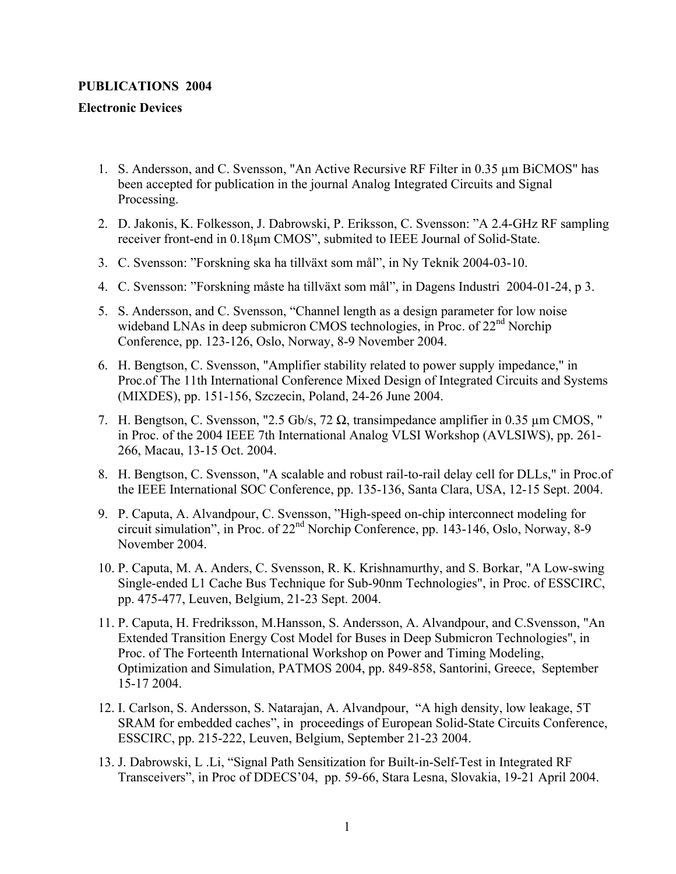## **PUBLICATIONS 2004**

## **Electronic Devices**

- 1. S. Andersson, and C. Svensson, "An Active Recursive RF Filter in 0.35 µm BiCMOS" has been accepted for publication in the journal Analog Integrated Circuits and Signal Processing.
- 2. D. Jakonis, K. Folkesson, J. Dabrowski, P. Eriksson, C. Svensson: "A 2.4-GHz RF sampling receiver front-end in 0.18µm CMOS", submited to IEEE Journal of Solid-State.
- 3. C. Svensson: "Forskning ska ha tillväxt som mål", in Ny Teknik 2004-03-10.
- 4. C. Svensson: "Forskning måste ha tillväxt som mål", in Dagens Industri 2004-01-24, p 3.
- 5. S. Andersson, and C. Svensson, "Channel length as a design parameter for low noise wideband LNAs in deep submicron CMOS technologies, in Proc. of  $22<sup>nd</sup>$  Norchip Conference, pp. 123-126, Oslo, Norway, 8-9 November 2004.
- 6. H. Bengtson, C. Svensson, "Amplifier stability related to power supply impedance," in Proc.of The 11th International Conference Mixed Design of Integrated Circuits and Systems (MIXDES), pp. 151-156, Szczecin, Poland, 24-26 June 2004.
- 7. H. Bengtson, C. Svensson, "2.5 Gb/s, 72 Ω, transimpedance amplifier in 0.35 µm CMOS, " in Proc. of the 2004 IEEE 7th International Analog VLSI Workshop (AVLSIWS), pp. 261- 266, Macau, 13-15 Oct. 2004.
- 8. H. Bengtson, C. Svensson, "A scalable and robust rail-to-rail delay cell for DLLs," in Proc.of the IEEE International SOC Conference, pp. 135-136, Santa Clara, USA, 12-15 Sept. 2004.
- 9. P. Caputa, A. Alvandpour, C. Svensson, "High-speed on-chip interconnect modeling for circuit simulation", in Proc. of 22nd Norchip Conference, pp. 143-146, Oslo, Norway, 8-9 November 2004.
- 10. P. Caputa, M. A. Anders, C. Svensson, R. K. Krishnamurthy, and S. Borkar, "A Low-swing Single-ended L1 Cache Bus Technique for Sub-90nm Technologies", in Proc. of ESSCIRC, pp. 475-477, Leuven, Belgium, 21-23 Sept. 2004.
- 11. P. Caputa, H. Fredriksson, M.Hansson, S. Andersson, A. Alvandpour, and C.Svensson, "An Extended Transition Energy Cost Model for Buses in Deep Submicron Technologies", in Proc. of The Forteenth International Workshop on Power and Timing Modeling, Optimization and Simulation, PATMOS 2004, pp. 849-858, Santorini, Greece, September 15-17 2004.
- 12. I. Carlson, S. Andersson, S. Natarajan, A. Alvandpour, "A high density, low leakage, 5T SRAM for embedded caches", in proceedings of European Solid-State Circuits Conference, ESSCIRC, pp. 215-222, Leuven, Belgium, September 21-23 2004.
- 13. J. Dabrowski, L .Li, "Signal Path Sensitization for Built-in-Self-Test in Integrated RF Transceivers", in Proc of DDECS'04, pp. 59-66, Stara Lesna, Slovakia, 19-21 April 2004.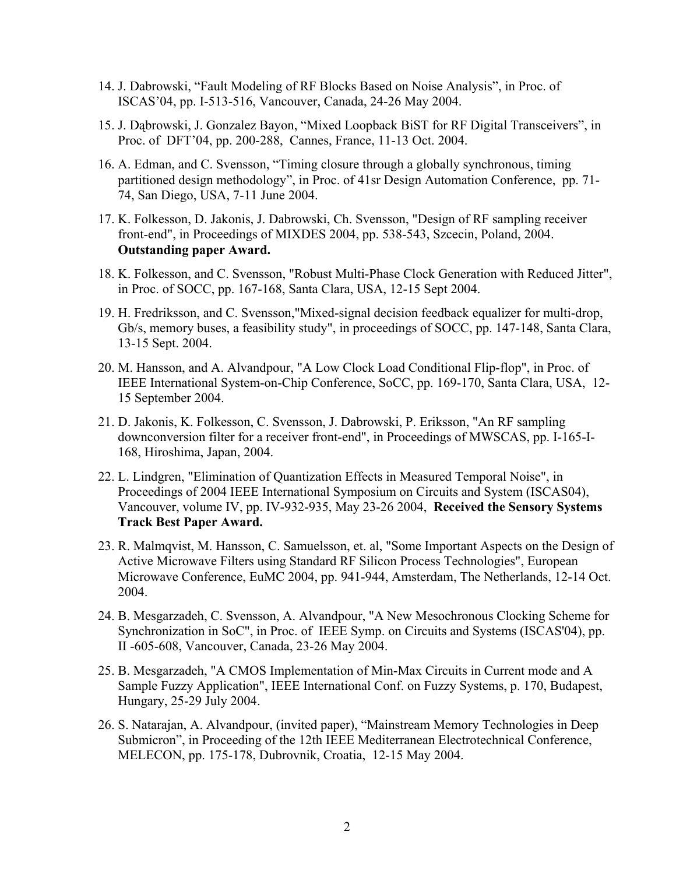- 14. J. Dabrowski, "Fault Modeling of RF Blocks Based on Noise Analysis", in Proc. of ISCAS'04, pp. I-513-516, Vancouver, Canada, 24-26 May 2004.
- 15. J. Dąbrowski, J. Gonzalez Bayon, "Mixed Loopback BiST for RF Digital Transceivers", in Proc. of DFT'04, pp. 200-288, Cannes, France, 11-13 Oct. 2004.
- 16. A. Edman, and C. Svensson, "Timing closure through a globally synchronous, timing partitioned design methodology", in Proc. of 41sr Design Automation Conference, pp. 71- 74, San Diego, USA, 7-11 June 2004.
- 17. K. Folkesson, D. Jakonis, J. Dabrowski, Ch. Svensson, "Design of RF sampling receiver front-end", in Proceedings of MIXDES 2004, pp. 538-543, Szcecin, Poland, 2004. **Outstanding paper Award.**
- 18. K. Folkesson, and C. Svensson, "Robust Multi-Phase Clock Generation with Reduced Jitter", in Proc. of SOCC, pp. 167-168, Santa Clara, USA, 12-15 Sept 2004.
- 19. H. Fredriksson, and C. Svensson,"Mixed-signal decision feedback equalizer for multi-drop, Gb/s, memory buses, a feasibility study", in proceedings of SOCC, pp. 147-148, Santa Clara, 13-15 Sept. 2004.
- 20. M. Hansson, and A. Alvandpour, "A Low Clock Load Conditional Flip-flop", in Proc. of IEEE International System-on-Chip Conference, SoCC, pp. 169-170, Santa Clara, USA, 12- 15 September 2004.
- 21. D. Jakonis, K. Folkesson, C. Svensson, J. Dabrowski, P. Eriksson, "An RF sampling downconversion filter for a receiver front-end", in Proceedings of MWSCAS, pp. I-165-I-168, Hiroshima, Japan, 2004.
- 22. L. Lindgren, "Elimination of Quantization Effects in Measured Temporal Noise", in Proceedings of 2004 IEEE International Symposium on Circuits and System (ISCAS04), Vancouver, volume IV, pp. IV-932-935, May 23-26 2004, **Received the Sensory Systems Track Best Paper Award.**
- 23. R. Malmqvist, M. Hansson, C. Samuelsson, et. al, "Some Important Aspects on the Design of Active Microwave Filters using Standard RF Silicon Process Technologies", European Microwave Conference, EuMC 2004, pp. 941-944, Amsterdam, The Netherlands, 12-14 Oct. 2004.
- 24. B. Mesgarzadeh, C. Svensson, A. Alvandpour, "A New Mesochronous Clocking Scheme for Synchronization in SoC", in Proc. of IEEE Symp. on Circuits and Systems (ISCAS'04), pp. II -605-608, Vancouver, Canada, 23-26 May 2004.
- 25. B. Mesgarzadeh, "A CMOS Implementation of Min-Max Circuits in Current mode and A Sample Fuzzy Application", IEEE International Conf. on Fuzzy Systems, p. 170, Budapest, Hungary, 25-29 July 2004.
- 26. S. Natarajan, A. Alvandpour, (invited paper), "Mainstream Memory Technologies in Deep Submicron", in Proceeding of the 12th IEEE Mediterranean Electrotechnical Conference, MELECON, pp. 175-178, Dubrovnik, Croatia, 12-15 May 2004.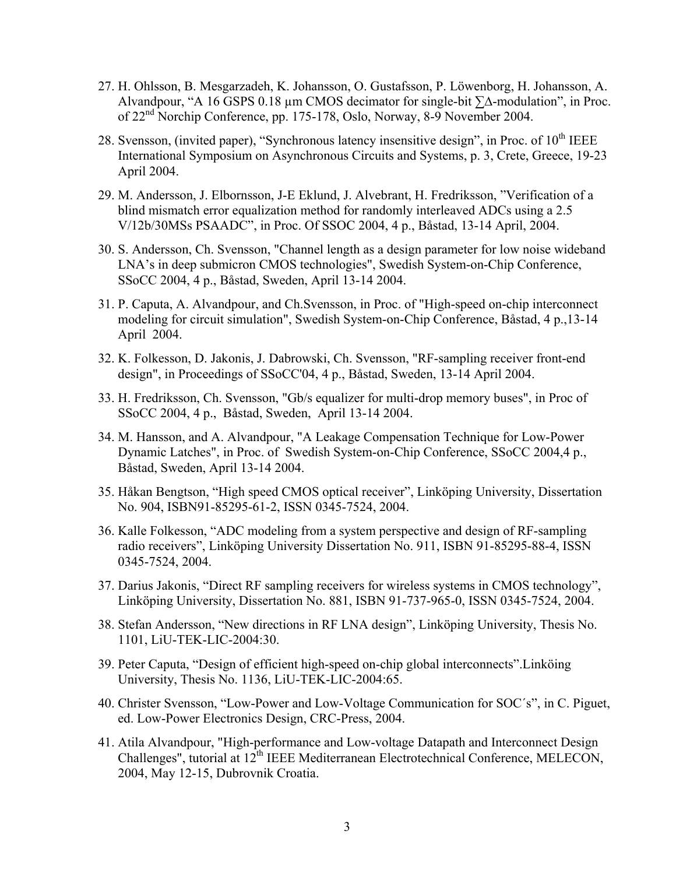- 27. H. Ohlsson, B. Mesgarzadeh, K. Johansson, O. Gustafsson, P. Löwenborg, H. Johansson, A. Alvandpour, "A 16 GSPS 0.18 µm CMOS decimator for single-bit ∑∆-modulation", in Proc. of 22nd Norchip Conference, pp. 175-178, Oslo, Norway, 8-9 November 2004.
- 28. Svensson, (invited paper), "Synchronous latency insensitive design", in Proc. of  $10<sup>th</sup> IEEE$ International Symposium on Asynchronous Circuits and Systems, p. 3, Crete, Greece, 19-23 April 2004.
- 29. M. Andersson, J. Elbornsson, J-E Eklund, J. Alvebrant, H. Fredriksson, "Verification of a blind mismatch error equalization method for randomly interleaved ADCs using a 2.5 V/12b/30MSs PSAADC", in Proc. Of SSOC 2004, 4 p., Båstad, 13-14 April, 2004.
- 30. S. Andersson, Ch. Svensson, "Channel length as a design parameter for low noise wideband LNA's in deep submicron CMOS technologies", Swedish System-on-Chip Conference, SSoCC 2004, 4 p., Båstad, Sweden, April 13-14 2004.
- 31. P. Caputa, A. Alvandpour, and Ch.Svensson, in Proc. of "High-speed on-chip interconnect modeling for circuit simulation", Swedish System-on-Chip Conference, Båstad, 4 p.,13-14 April 2004.
- 32. K. Folkesson, D. Jakonis, J. Dabrowski, Ch. Svensson, "RF-sampling receiver front-end design", in Proceedings of SSoCC'04, 4 p., Båstad, Sweden, 13-14 April 2004.
- 33. H. Fredriksson, Ch. Svensson, "Gb/s equalizer for multi-drop memory buses", in Proc of SSoCC 2004, 4 p., Båstad, Sweden, April 13-14 2004.
- 34. M. Hansson, and A. Alvandpour, "A Leakage Compensation Technique for Low-Power Dynamic Latches", in Proc. of Swedish System-on-Chip Conference, SSoCC 2004,4 p., Båstad, Sweden, April 13-14 2004.
- 35. Håkan Bengtson, "High speed CMOS optical receiver", Linköping University, Dissertation No. 904, ISBN91-85295-61-2, ISSN 0345-7524, 2004.
- 36. Kalle Folkesson, "ADC modeling from a system perspective and design of RF-sampling radio receivers", Linköping University Dissertation No. 911, ISBN 91-85295-88-4, ISSN 0345-7524, 2004.
- 37. Darius Jakonis, "Direct RF sampling receivers for wireless systems in CMOS technology", Linköping University, Dissertation No. 881, ISBN 91-737-965-0, ISSN 0345-7524, 2004.
- 38. Stefan Andersson, "New directions in RF LNA design", Linköping University, Thesis No. 1101, LiU-TEK-LIC-2004:30.
- 39. Peter Caputa, "Design of efficient high-speed on-chip global interconnects".Linköing University, Thesis No. 1136, LiU-TEK-LIC-2004:65.
- 40. Christer Svensson, "Low-Power and Low-Voltage Communication for SOC´s", in C. Piguet, ed. Low-Power Electronics Design, CRC-Press, 2004.
- 41. [Atila Alvandpour,](http://www.melecon2004.org/t1.html) "High-performance and Low-voltage Datapath and Interconnect Design Challenges", tutorial at 12<sup>th</sup> IEEE Mediterranean Electrotechnical Conference, MELECON, 2004, May 12-15, Dubrovnik Croatia.